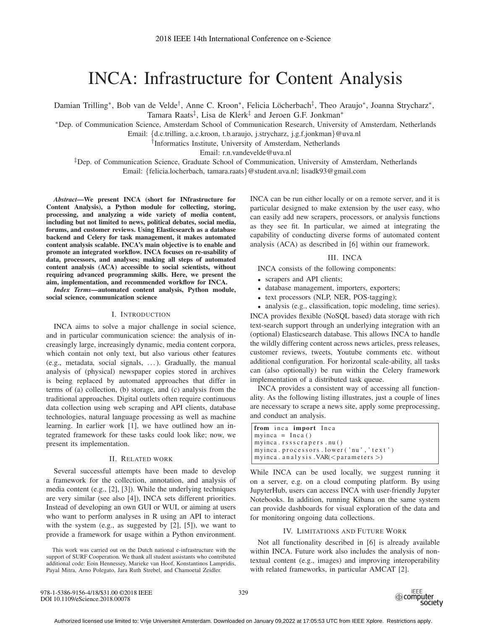# INCA: Infrastructure for Content Analysis

Damian Trilling<sup>∗</sup>, Bob van de Velde<sup>†</sup>, Anne C. Kroon<sup>∗</sup>, Felicia Löcherbach<sup>‡</sup>, Theo Araujo<sup>∗</sup>, Joanna Strycharz<sup>∗</sup>, Tamara Raats<sup>‡</sup>, Lisa de Klerk<sup>‡</sup> and Jeroen G.F. Jonkman<sup>∗</sup>

∗Dep. of Communication Science, Amsterdam School of Communication Research, University of Amsterdam, Netherlands

Email: {d.c.trilling, a.c.kroon, t.b.araujo, j.strycharz, j.g.f.jonkman}@uva.nl

†Informatics Institute, University of Amsterdam, Netherlands

Email: r.n.vandevelde@uva.nl

‡Dep. of Communication Science, Graduate School of Communication, University of Amsterdam, Netherlands Email: {felicia.locherbach, tamara.raats}@student.uva.nl; lisadk93@gmail.com

*Abstract*—We present INCA (short for INfrastructure for Content Analysis), a Python module for collecting, storing, processing, and analyzing a wide variety of media content, including but not limited to news, political debates, social media, forums, and customer reviews. Using Elasticsearch as a database backend and Celery for task management, it makes automated content analysis scalable. INCA's main objective is to enable and promote an integrated workflow. INCA focuses on re-usability of data, processors, and analyses; making all steps of automated content analysis (ACA) accessible to social scientists, without requiring advanced programming skills. Here, we present the aim, implementation, and recommended workflow for INCA.

*Index Terms*—automated content analysis, Python module, social science, communication science

#### I. INTRODUCTION

INCA aims to solve a major challenge in social science, and in particular communication science: the analysis of increasingly large, increasingly dynamic, media content corpora, which contain not only text, but also various other features (e.g., metadata, social signals, . . . ). Gradually, the manual analysis of (physical) newspaper copies stored in archives is being replaced by automated approaches that differ in terms of (a) collection, (b) storage, and (c) analysis from the traditional approaches. Digital outlets often require continuous data collection using web scraping and API clients, database technologies, natural language processing as well as machine learning. In earlier work [1], we have outlined how an integrated framework for these tasks could look like; now, we present its implementation.

## II. RELATED WORK

Several successful attempts have been made to develop a framework for the collection, annotation, and analysis of media content (e.g., [2], [3]). While the underlying techniques are very similar (see also [4]), INCA sets different priorities. Instead of developing an own GUI or WUI, or aiming at users who want to perform analyses in R using an API to interact with the system (e.g., as suggested by [2], [5]), we want to provide a framework for usage within a Python environment. INCA can be run either locally or on a remote server, and it is particular designed to make extension by the user easy, who can easily add new scrapers, processors, or analysis functions as they see fit. In particular, we aimed at integrating the capability of conducting diverse forms of automated content analysis (ACA) as described in [6] within our framework.

## III. INCA

INCA consists of the following components:

- scrapers and API clients;
- database management, importers, exporters;
- text processors (NLP, NER, POS-tagging);

• analysis (e.g., classification, topic modeling, time series).

INCA provides flexible (NoSQL based) data storage with rich text-search support through an underlying integration with an (optional) Elasticsearch database. This allows INCA to handle the wildly differing content across news articles, press releases, customer reviews, tweets, Youtube comments etc. without additional configuration. For horizontal scale-ability, all tasks can (also optionally) be run within the Celery framework implementation of a distributed task queue.

INCA provides a consistent way of accessing all functionality. As the following listing illustrates, just a couple of lines are necessary to scrape a news site, apply some preprocessing, and conduct an analysis.

```
from inca import Inca
myinca = Inca()myinca.rssscrapers.nu()
myinca . processors . lower ('nu','text')
myinca. analysis. VAR(<i>parameters</i>)
```
While INCA can be used locally, we suggest running it on a server, e.g. on a cloud computing platform. By using JupyterHub, users can access INCA with user-friendly Jupyter Notebooks. In addition, running Kibana on the same system can provide dashboards for visual exploration of the data and for monitoring ongoing data collections.

#### IV. LIMITATIONS AND FUTURE WORK

Not all functionality described in [6] is already available within INCA. Future work also includes the analysis of nontextual content (e.g., images) and improving interoperability with related frameworks, in particular AMCAT [2].



This work was carried out on the Dutch national e-infrastructure with the support of SURF Cooperation. We thank all student assistants who contributed additional code: Eoin Hennessey, Marieke van Hoof, Konstantinos Lampridis, Payal Mitra, Arno Polegato, Jara Ruth Strebel, and Chamoetal Zeidler.